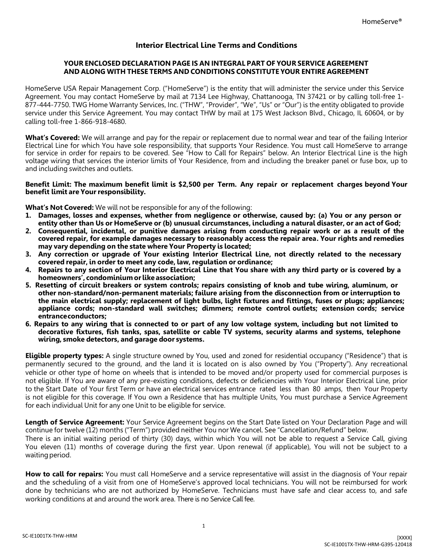# **Interior Electrical Line Terms and Conditions**

### **YOUR ENCLOSED DECLARATION PAGE IS AN INTEGRAL PART OF YOUR SERVICE AGREEMENT AND ALONG WITH THESE TERMS AND CONDITIONS CONSTITUTE YOUR ENTIRE AGREEMENT**

HomeServe USA Repair Management Corp. ("HomeServe") is the entity that will administer the service under this Service Agreement. You may contact HomeServe by mail at 7134 Lee Highway, Chattanooga, TN 37421 or by calling toll-free 1- 877-444-7750. TWG Home Warranty Services, Inc. ("THW", "Provider", "We", "Us" or "Our") is the entity obligated to provide service under this Service Agreement. You may contact THW by mail at 175 West Jackson Blvd., Chicago, IL 60604, or by calling toll-free 1-866-918-4680.

**What's Covered:** We will arrange and pay for the repair or replacement due to normal wear and tear of the failing Interior Electrical Line for which You have sole responsibility, that supports Your Residence. You must call HomeServe to arrange for service in order for repairs to be covered. See "How to Call for Repairs" below. An Interior Electrical Line is the high voltage wiring that services the interior limits of Your Residence, from and including the breaker panel or fuse box, up to and including switches and outlets.

#### **Benefit Limit: The maximum benefit limit is \$2,500 per Term. Any repair or replacement charges beyond Your benefit limit are Yourresponsibility.**

**What's Not Covered:** We will not be responsible for any of the following:

- 1. Damages, losses and expenses, whether from negligence or otherwise, caused by: (a) You or any person or entity other than Us or HomeServe or (b) unusual circumstances, including a natural disaster, or an act of God;
- 2. Consequential, incidental, or punitive damages arising from conducting repair work or as a result of the **covered repair, for example damages necessary to reasonably access the repair area. Your rights and remedies may vary depending on the state where Your Property is located;**
- 3. Any correction or upgrade of Your existing Interior Electrical Line, not directly related to the necessary **covered repair, in order to meet any code, law, regulation or ordinance;**
- 4. Repairs to any section of Your Interior Electrical Line that You share with any third party or is covered by a **homeowners', condominium orlike association;**
- 5. Resetting of circuit breakers or system controls; repairs consisting of knob and tube wiring, aluminum, or **other non-standard/non-permanent materials; failure arising from the disconnection from or interruption to the main electrical supply; replacement of light bulbs, light fixtures and fittings, fuses or plugs; appliances; appliance cords; non-standard wall switches; dimmers; remote control outlets; extension cords; service entranceconductors;**
- 6. Repairs to any wiring that is connected to or part of any low voltage system, including but not limited to **decorative fixtures, fish tanks, spas, satellite or cable TV systems, security alarms and systems, telephone wiring, smoke detectors, and garage door systems.**

**Eligible property types:** A single structure owned by You, used and zoned for residential occupancy ("Residence") that is permanently secured to the ground, and the land it is located on is also owned by You ("Property"). Any recreational vehicle or other type of home on wheels that is intended to be moved and/or property used for commercial purposes is not eligible. If You are aware of any pre-existing conditions, defects or deficiencies with Your Interior Electrical Line, prior to the Start Date of Your first Term or have an electrical services entrance rated less than 80 amps, then Your Property is not eligible for this coverage. If You own a Residence that has multiple Units, You must purchase a Service Agreement for each individual Unit for any one Unit to be eligible for service.

**Length of Service Agreement:** Your Service Agreement begins on the Start Date listed on Your Declaration Page and will continue for twelve (12) months ("Term") provided neither You nor We cancel. See "Cancellation/Refund" below. There is an initial waiting period of thirty (30) days, within which You will not be able to request a Service Call, giving You eleven (11) months of coverage during the first year. Upon renewal (if applicable), You will not be subject to a waiting period.

**How to call for repairs:** You must call HomeServe and a service representative will assist in the diagnosis of Your repair and the scheduling of a visit from one of HomeServe's approved local technicians. You will not be reimbursed for work done by technicians who are not authorized by HomeServe. Technicians must have safe and clear access to, and safe working conditions at and around the work area. There is no Service Call fee.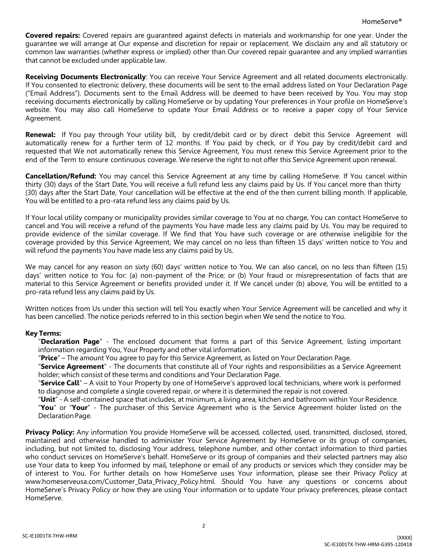**Covered repairs:** Covered repairs are guaranteed against defects in materials and workmanship for one year. Under the guarantee we will arrange at Our expense and discretion for repair or replacement. We disclaim any and all statutory or common law warranties (whether express or implied) other than Our covered repair guarantee and any implied warranties that cannot be excluded under applicable law.

**Receiving Documents Electronically**: You can receive Your Service Agreement and all related documents electronically. If You consented to electronic delivery, these documents will be sent to the email address listed on Your Declaration Page ("Email Address"). Documents sent to the Email Address will be deemed to have been received by You. You may stop receiving documents electronically by calling HomeServe or by updating Your preferences in Your profile on HomeServe's website. You may also call HomeServe to update Your Email Address or to receive a paper copy of Your Service Agreement.

**Renewal:** If You pay through Your utility bill, by credit/debit card or by direct debit this Service Agreement will automatically renew for a further term of 12 months. If You paid by check, or if You pay by credit/debit card and requested that We not automatically renew this Service Agreement, You must renew this Service Agreement prior to the end of the Term to ensure continuous coverage. We reserve the right to not offer this Service Agreement upon renewal.

**Cancellation/Refund:** You may cancel this Service Agreement at any time by calling HomeServe. If You cancel within thirty (30) days of the Start Date, You will receive a full refund less any claims paid by Us. If You cancel more than thirty (30) days after the Start Date, Your cancellation will be effective at the end of the then current billing month. If applicable, You will be entitled to a pro-rata refund less any claims paid by Us.

If Your local utility company or municipality provides similar coverage to You at no charge, You can contact HomeServe to cancel and You will receive a refund of the payments You have made less any claims paid by Us. You may be required to provide evidence of the similar coverage. If We find that You have such coverage or are otherwise ineligible for the coverage provided by this Service Agreement, We may cancel on no less than fifteen 15 days' written notice to You and will refund the payments You have made less any claims paid by Us.

We may cancel for any reason on sixty (60) days' written notice to You. We can also cancel, on no less than fifteen (15) days' written notice to You for: (a) non-payment of the Price; or (b) Your fraud or misrepresentation of facts that are material to this Service Agreement or benefits provided under it. If We cancel under (b) above, You will be entitled to a pro-rata refund less any claims paid by Us.

Written notices from Us under this section will tell You exactly when Your Service Agreement will be cancelled and why it has been cancelled. The notice periods referred to in this section begin when We send the notice to You.

## **Key Terms:**

"**Declaration Page**" - The enclosed document that forms a part of this Service Agreement, listing important information regarding You, Your Property and other vital information.

"**Price**" – The amount You agree to pay for this Service Agreement, as listed on Your Declaration Page.

"**Service Agreement**" - The documents that constitute all of Your rights and responsibilities as a Service Agreement holder; which consist of these terms and conditions and Your Declaration Page.

"**Service Call**" – A visit to Your Property by one of HomeServe's approved local technicians, where work is performed to diagnose and complete a single covered repair, or where it is determined the repair is not covered.

"**Unit**" - A self-contained space that includes, at minimum, a living area, kitchen and bathroom within Your Residence.

"**You**" or "**Your**" - The purchaser of this Service Agreement who is the Service Agreement holder listed on the Declaration Page.

**Privacy Policy:** Any information You provide HomeServe will be accessed, collected, used, transmitted, disclosed, stored, maintained and otherwise handled to administer Your Service Agreement by HomeServe or its group of companies, including, but not limited to, disclosing Your address, telephone number, and other contact information to third parties who conduct services on HomeServe's behalf. HomeServe or its group of companies and their selected partners may also use Your data to keep You informed by mail, telephone or email of any products or services which they consider may be of interest to You. For further details on how HomeServe uses Your information, please see their Privacy Policy a[t](http://www.homeserveusa.com/Customer_Data_Privacy_Policy.html) [www.homeserveusa.com/Customer\\_Data\\_Privacy\\_Policy.html.](http://www.homeserveusa.com/Customer_Data_Privacy_Policy.html) Should You have any questions or concerns about HomeServe's Privacy Policy or how they are using Your information or to update Your privacy preferences, please contact HomeServe.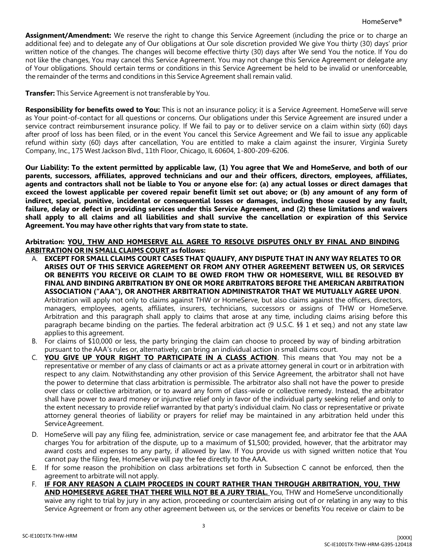**Assignment/Amendment:** We reserve the right to change this Service Agreement (including the price or to charge an additional fee) and to delegate any of Our obligations at Our sole discretion provided We give You thirty (30) days' prior written notice of the changes. The changes will become effective thirty (30) days after We send You the notice. If You do not like the changes, You may cancel this Service Agreement. You may not change this Service Agreement or delegate any of Your obligations. Should certain terms or conditions in this Service Agreement be held to be invalid or unenforceable, the remainder of the terms and conditions in this Service Agreement shall remain valid.

**Transfer:** This Service Agreement is not transferable by You.

**Responsibility for benefits owed to You:** This is not an insurance policy; it is a Service Agreement. HomeServe will serve as Your point-of-contact for all questions or concerns. Our obligations under this Service Agreement are insured under a service contract reimbursement insurance policy. If We fail to pay or to deliver service on a claim within sixty (60) days after proof of loss has been filed, or in the event You cancel this Service Agreement and We fail to issue any applicable refund within sixty (60) days after cancellation, You are entitled to make a claim against the insurer, Virginia Surety Company, Inc., 175 West Jackson Blvd., 11th Floor, Chicago, IL 60604, 1-800-209-6206.

Our Liability: To the extent permitted by applicable law, (1) You agree that We and HomeServe, and both of our **parents, successors, affiliates, approved technicians and our and their officers, directors, employees, affiliates,** agents and contractors shall not be liable to You or anyone else for: (a) any actual losses or direct damages that exceed the lowest applicable per covered repair benefit limit set out above; or (b) any amount of any form of **indirect, special, punitive, incidental or consequential losses or damages, including those caused by any fault,** failure, delay or defect in providing services under this Service Agreement, and (2) these limitations and waivers shall apply to all claims and all liabilities and shall survive the cancellation or expiration of this Service **Agreement. You may have other rights that vary from state to state.**

**Arbitration: YOU, THW AND HOMESERVE ALL AGREE TO RESOLVE DISPUTES ONLY BY FINAL AND BINDING ARBITRATION OR IN SMALL CLAIMS COURT as follows:**

- A. **EXCEPT FOR SMALL CLAIMS COURT CASES THAT QUALIFY, ANY DISPUTE THAT IN ANY WAY RELATES TO OR ARISES OUT OF THIS SERVICE AGREEMENT OR FROM ANY OTHER AGREEMENT BETWEEN US, OR SERVICES OR BENEFITS YOU RECEIVE OR CLAIM TO BE OWED FROM THW OR HOMESERVE, WILL BE RESOLVED BY FINAL AND BINDING ARBITRATION BY ONE OR MORE ARBITRATORS BEFORE THE AMERICAN ARBITRATION ASSOCIATION ("AAA"), OR ANOTHER ARBITRATION ADMINISTRATOR THAT WE MUTUALLY AGREE UPON**. Arbitration will apply not only to claims against THW or HomeServe, but also claims against the officers, directors, managers, employees, agents, affiliates, insurers, technicians, successors or assigns of THW or HomeServe. Arbitration and this paragraph shall apply to claims that arose at any time, including claims arising before this paragraph became binding on the parties. The federal arbitration act (9 U.S.C. §§ 1 et seq.) and not any state law applies to this agreement.
- B. For claims of \$10,000 or less, the party bringing the claim can choose to proceed by way of binding arbitration pursuant to the AAA's rules or, alternatively, can bring an individual action in small claims court.
- C. **YOU GIVE UP YOUR RIGHT TO PARTICIPATE IN A CLASS ACTION**. This means that You may not be a representative or member of any class of claimants or act as a private attorney general in court or in arbitration with respect to any claim. Notwithstanding any other provision of this Service Agreement, the arbitrator shall not have the power to determine that class arbitration is permissible. The arbitrator also shall not have the power to preside over class or collective arbitration, or to award any form of class-wide or collective remedy. Instead, the arbitrator shall have power to award money or injunctive relief only in favor of the individual party seeking relief and only to the extent necessary to provide relief warranted by that party's individual claim. No class or representative or private attorney general theories of liability or prayers for relief may be maintained in any arbitration held under this ServiceAgreement.
- D. HomeServe will pay any filing fee, administration, service or case management fee, and arbitrator fee that the AAA charges You for arbitration of the dispute, up to a maximum of \$1,500; provided, however, that the arbitrator may award costs and expenses to any party, if allowed by law. If You provide us with signed written notice that You cannot pay the filing fee, HomeServe will pay the fee directly to the AAA.
- E. If for some reason the prohibition on class arbitrations set forth in Subsection C cannot be enforced, then the agreement to arbitrate will not apply.
- F. **IF FOR ANY REASON A CLAIM PROCEEDS IN COURT RATHER THAN THROUGH ARBITRATION, YOU, THW AND HOMESERVE AGREE THAT THERE WILL NOT BE A JURY TRIAL.** You, THW and HomeServe unconditionally waive any right to trial by jury in any action, proceeding or counterclaim arising out of or relating in any way to this Service Agreement or from any other agreement between us, or the services or benefits You receive or claim to be